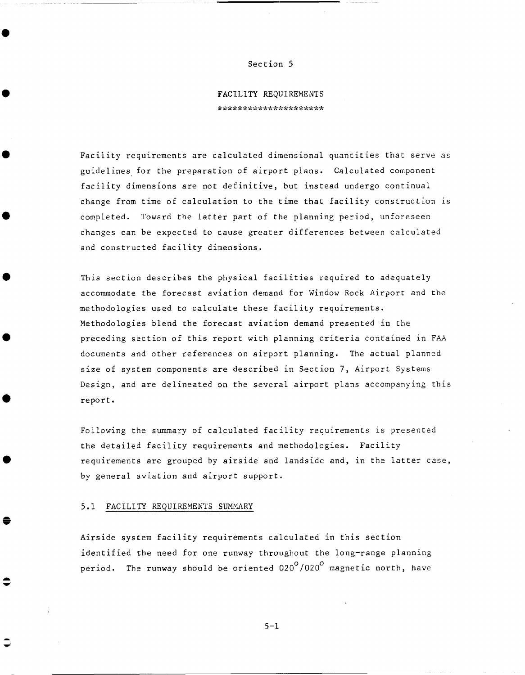#### Section 5

**FACILITY** REQUIREMENTS \*\*\*\*\*\*\*\*\*\*\*\*\*\*\*\*\*\*\*\*\*

Facility requirements are calculated dimensional quantities that serve as guidelines for the preparation of airport plans. Calculated component facility dimensions are not definitive, but instead undergo continual change from time of calculation to the time that facility construction is completed. Toward the latter part of the planning period, unforeseen changes can be expected to cause greater differences between calculated and constructed facility dimensions.

This section describes the physical facilities required to adequately accommodate the forecast aviation demand for Window Rock Airport and the methodologies used to calculate these facility requirements. Methodologies blend the forecast aviation demand presented in the preceding section of this report with planning criteria contained in FAA documents and other references on airport planning. The actual planned size of system components are described in Section 7, Airport Systems Design, and are delineated on the several airport plans accompanying this report.

Following the summary of calculated facility requirements is presented the detailed facility requirements and methodologies. Facility requirements are grouped by airside and landside and, in the latter case, by general aviation and airport support.

#### 5.1 FACILITY REQUIREMENTS SUMMARY

Airside system facility requirements calculated in this section identified the need for one runway throughout the long-range planning period. The runway should be oriented  $020^{\circ}/020^{\circ}$  magnetic north, have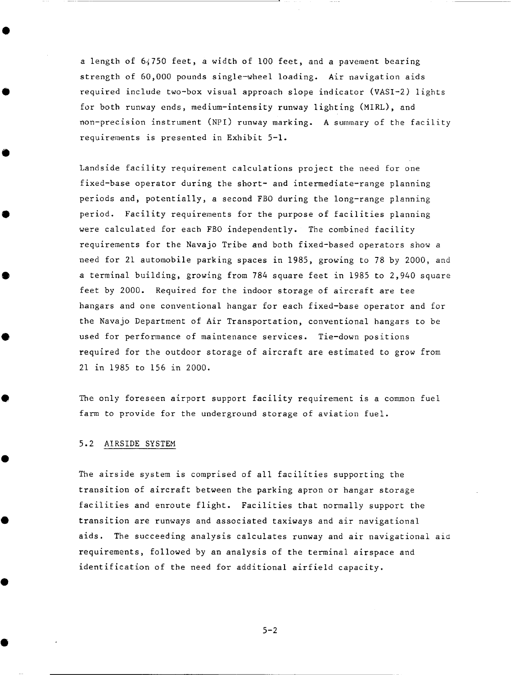a length of 64750 feet, a width of I00 feet, and a pavement bearing strength of 60,000 pounds single-wheel loading. Air navigation aids required include two-box visual approach slope indicator (VASI-2) lights for both runway ends, medium-intensity runway lighting (MIRL), and non-precision instrument (NPI) runway marking. A summary of the facility requirements is presented in Exhibit 5-1.

Landside facility requirement calculations project the need for one fixed-base operator during the short- and intermediate-range planning periods and, potentially, a second FBO during the long-range planning period. Facility requirements for the purpose of facilities planning were calculated for each FBO independently. The combined facility requirements for the Navajo Tribe and both fixed-based operators show a need for 21 automobile parking spaces in 1985, growing to 78 by 2000, and a terminal building, growing from 784 square feet in 1985 to 2,940 square feet by 2000. Required for the indoor storage of aircraft are tee hangars and one conventional hangar for each fixed-base operator and for the Navajo Department of Air Transportation, conventional hangars to be used for performance of maintenance services. Tie-down positions required for the outdoor storage of aircraft are estimated to grow from 21 in 1985 to 156 in 2000.

The only foreseen airport support facility requirement is a common fuel farm to provide for the underground storage of aviation fuel.

#### 5.2 AIRSIDE SYSTEM

The airside system is comprised of all facilities supporting the transition of aircraft between the parking apron or hangar storage facilities and enroute flight. Facilities that normally support the transition are runways and associated taxiways and air navigational aids. The succeeding analysis calculates runway and air navigational aid requirements, followed by an analysis of the terminal airspace and identification of the need for additional airfield capacity.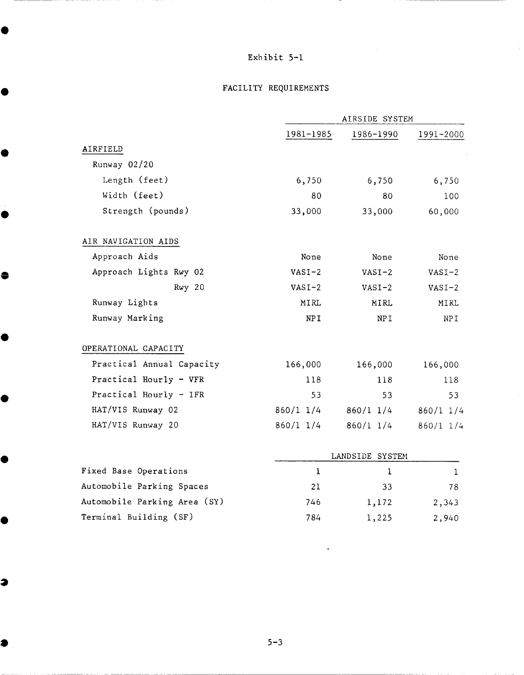# FACILITY REQUIREMENTS

|                           | AIRSIDE SYSTEM  |                 |               |
|---------------------------|-----------------|-----------------|---------------|
|                           | 1981-1985       | 1986-1990       | 1991-2000     |
| AIRFIELD                  |                 |                 |               |
| Runway 02/20              |                 |                 |               |
| Length (feet)             | 6,750           | 6,750           | 6,750         |
| Width (feet)              | 80              | 80              | 100           |
| Strength (pounds)         | 33,000          | 33,000          | 60,000        |
| AIR NAVIGATION AIDS       |                 |                 |               |
| Approach Aids             | None            | None            | None          |
| Approach Lights Rwy 02    | $VASI-2$        | $VASI-2$        | $VASI-2$      |
| Rwy 20                    | $VASI-2$        | $VASI-2$        | $VASI-2$      |
| Runway Lights             | MIRL            | <b>MIRL</b>     | MIRL          |
| Runway Marking            | <b>NPI</b>      | NP <sub>I</sub> | NPI           |
| OPERATIONAL CAPACITY      |                 |                 |               |
| Practical Annual Capacity | 166,000         | 166,000         | 166,000       |
| Practical Hourly - VFR    | 118             | 118             | 118           |
| Practical Hourly - IFR    | 53              | 53              | 53            |
| HAT/VIS Runway 02         | 860/1 1/4       | $860/1$ 1/4     | $860/1$ 1/4   |
| HAT/VIS Runway 20         | $860/1$ 1/4     | $860/1$ 1/4     | $860/1$ $1/4$ |
|                           | LANDSIDE SYSTEM |                 |               |
| Fixed Base Operations     | $\mathbf{1}$    | 1               | $\mathbf{1}$  |
| Automobile Parking Spaces | 21              | 33              | 78            |

 $5 - 3$ 

746 1,172 2,343 784 1,225 2,940

 $\hat{\mathbf{z}}$ 

Automobile Parking Area (SY)

Terminal Building (SF)

●

Q

3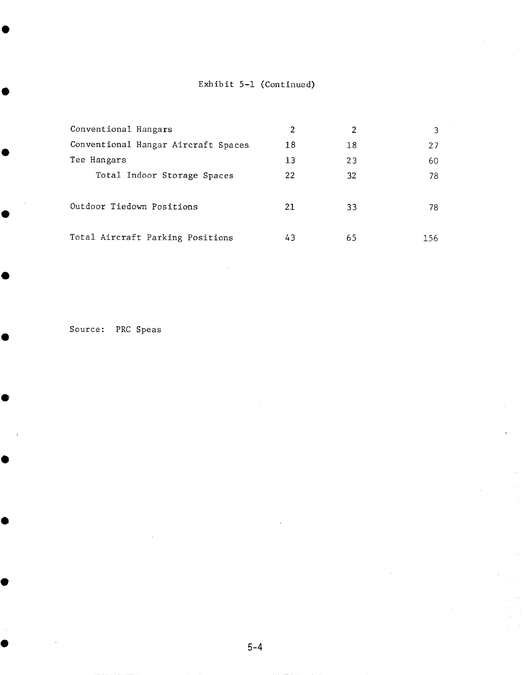# Exhibit 5-1 (Continued)

| Conventional Hangars                | 2  | 2  |     |
|-------------------------------------|----|----|-----|
| Conventional Hangar Aircraft Spaces | 18 | 18 | 27  |
| Tee Hangars                         | 13 | 23 | 60  |
| Total Indoor Storage Spaces         | 22 | 32 | 78  |
| Outdoor Tiedown Positions           | 21 | 33 | 78  |
| Total Aircraft Parking Positions    | 43 | 65 | 156 |

Source: PRC Speas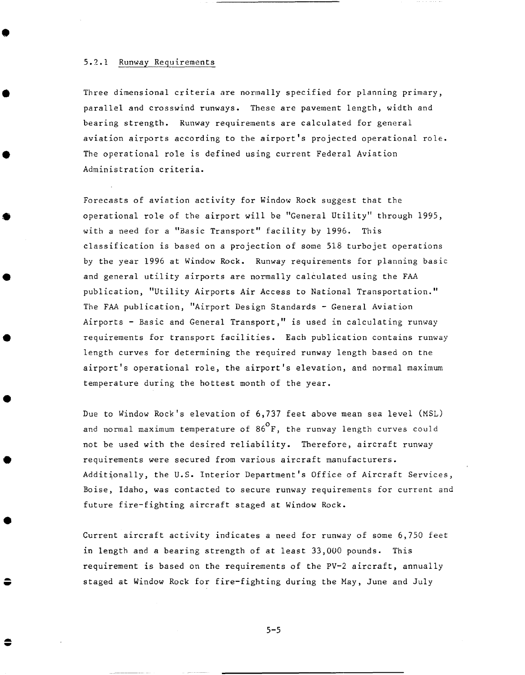### 5.2.1 Runway Requirements

Three dimensional criteria are normally specified for planning primary, parallel and crosswind runways. These are pavement length, width and bearing strength. Runway requirements are calculated for general aviation airports according to the airport's projected operational role. The operational role is defined using current Federal Aviation Administration criteria.

Forecasts of aviation activity for Window Rock suggest that the operational role of the airport will be "General Utility" through 1995, with a need for a "Basic Transport" facility by 1996. This classification is based on a projection of some 518 turbojet operations by the year 1996 at Window Rock. Runway requirements for planning basic and general utility airports are normally calculated using the FAA publication, "Utility Airports Air Access to National Transportation." The FAA publication, "Airport Design Standards - General Aviation Airports - Basic and General Transport," is used in calculating runway requirements for transport facilities. Each publication contains runway length curves for determining the required runway length based on the airport's operational role, the airport's elevation, and normal maximum temperature during the hottest month of the year.

Due to Window Rock's elevation of 6,737 feet above mean sea level (MSL) and normal maximum temperature of  $86^{\circ}$ F, the runway length curves could not be used with the desired reliability. Therefore, aircraft runway requirements were secured from various aircraft manufacturers. Additionally, the U.S. Interior Department's Office of Aircraft Services, Boise, Idaho, was contacted to secure runway requirements for current and future fire-fighting aircraft staged at Window Rock.

Current aircraft activity indicates a need for runway of some 6,750 feet in length and a bearing strength of at least 33,000 pounds. This requirement is based on the requirements of the PV-2 aircraft, annually staged at Window Rock for fire-fighting during the May, June and July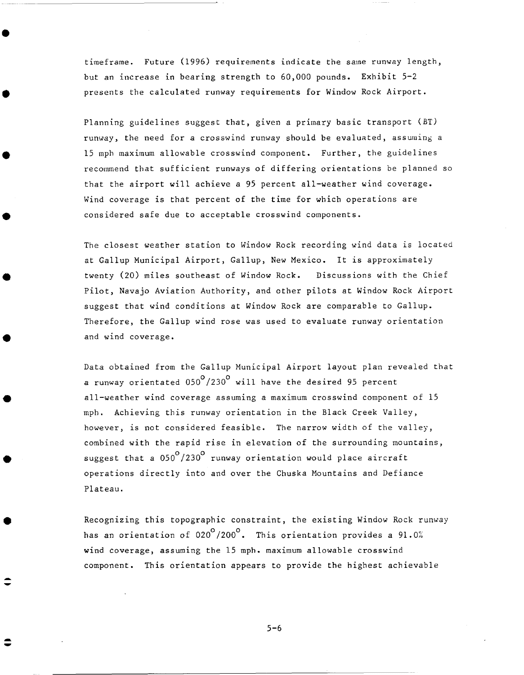timeframe. Future (1996) requirements indicate the same runway length, but an increase in bearing strength to 60,000 pounds. Exhibit 5-2 presents the calculated runway requirements for Window Rock Airport.

Planning guidelines suggest that, given a primary basic transport (BT) runway, the need for a crosswind runway should be evaluated, assuming a 15 mph maximum allowable crosswind component. Further, the guidelines recommend that sufficient runways of differing orientations be planned so that the airport will achieve a 95 percent all-weather wind coverage. Wind coverage is that percent of the time for which operations are considered safe due to acceptable crosswind components.

The closest weather station to Window Rock recording wind data is located at Gallup Municipal Airport, Gallup, New Mexico. It is approximately twenty (20) miles southeast of Window Rock. Discussions with the Chief Pilot, Navajo Aviation Authority, and other pilots at Window Rock Airport suggest that wind conditions at Window Rock are comparable to Gallup. Therefore, the Gallup wind rose was used to evaluate runway orientation and wind coverage.

Data obtained from the Gallup Municipal Airport layout plan revealed that a runway orientated  $050^{\circ}/230^{\circ}$  will have the desired 95 percent all-weather wind coverage assuming a maximum crosswind component of 15 mph. Achieving this runway orientation in the Black Creek Valley, however, is not considered feasible. The narrow width of the valley, combined with the rapid rise in elevation of the surrounding mountains, suggest that a  $050^{\circ}/230^{\circ}$  runway orientation would place aircraft operations directly into and over the Chuska Mountains and Defiance Plateau.

Recognizing this topographic constraint, the existing Window Rock runway has an orientation of 020 $^{\circ}$ /200 $^{\circ}$ . This orientation provides a 91.0% wind coverage, assuming the 15 mpb. maximum allowable crosswind component. This orientation appears to provide the highest achievable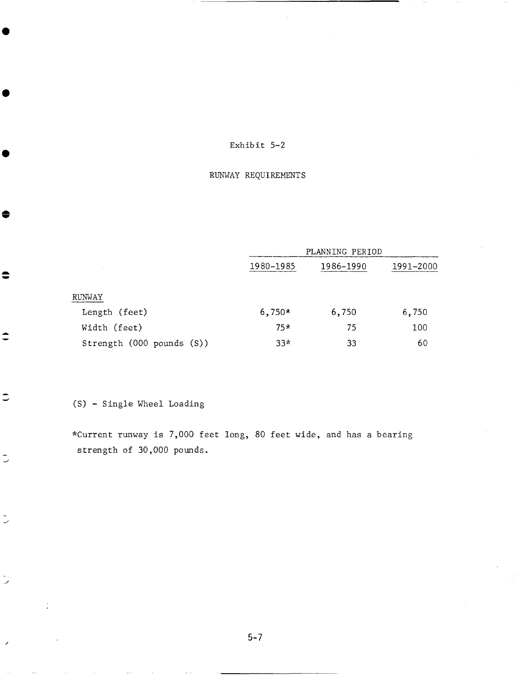## RUNWAY REQUIREMENTS

|                           | PLANNING PERIOD |           |           |
|---------------------------|-----------------|-----------|-----------|
| $\sim$                    | 1980-1985       | 1986-1990 | 1991-2000 |
| RUNWAY                    |                 |           |           |
| Length (feet)             | $6,750*$        | 6,750     | 6,750     |
| Width (feet)              | $75*$           | 75        | 100       |
| Strength (000 pounds (S)) | $33*$           | 33        | 60        |

 $(S)$  - Single Wheel Loading

♠

 $\hat{=}$ 

 $\Rightarrow$ 

 $\bar{\mathbb{U}}$ 

 $\tilde{\mathbb{C}}$ 

 $\ddot{\phantom{a}}$ 

\*Current runway is 7,000 feet long, 80 feet wide, and has a bearing strength of 30,000 pounds.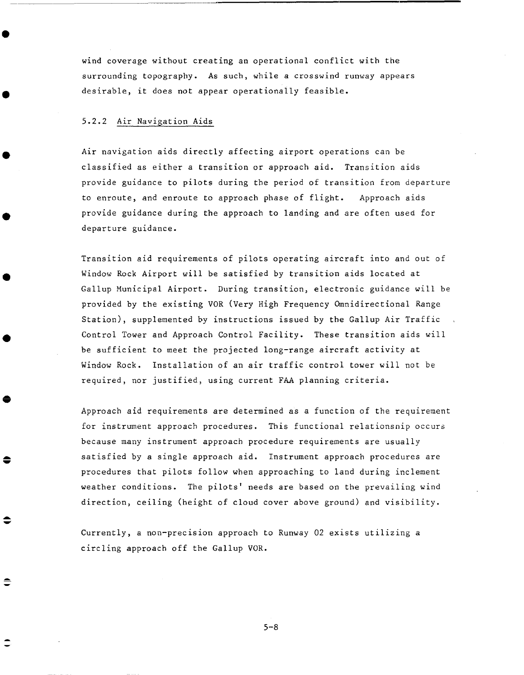wind coverage without creating an operational conflict with the surrounding topography. As such, while a crosswind runway appears desirable, it does not appear operationally feasible.

## 5.2.2 Air Navigation Aids

€

Air navigation aids directly affecting airport operations can be classified as either a transition or approach aid. Transition aids provide guidance to pilots during the period of transition from departure to enroute, and enroute to approach phase of flight. Approach aids provide guidance during the approach to landing and are often used for departure guidance.

Transition aid requirements of pilots operating aircraft into and out of Window Rock Airport will be satisfied by transition aids located at Gallup Municipal Airport. During transition, electronic guidance will be provided by the existing VOR (Very High Frequency Omnidirectional Range Station), supplemented by instructions issued by the Gallup Air Traffic Control Tower and Approach Control Facility. These transition aids will be sufficient to meet the projected long-range aircraft activity at Window Rock. Installation of an air traffic control tower will not be required, nor justified, using current FAA planning criteria.

Approach aid requirements are determined as a function of the requirement for instrument approach procedures. This functional relationship occurs because many instrument approach procedure requirements are usually satisfied by a single approach aid. Instrument approach procedures are procedures that pilots follow when approaching to land during inclement weather conditions. The pilots' needs are based on the prevailing wind direction, ceiling (height of cloud cover above ground) and visibility.

Currently, a non-precision approach to Runway 02 exists utilizing a circling approach off the Gallup VOR.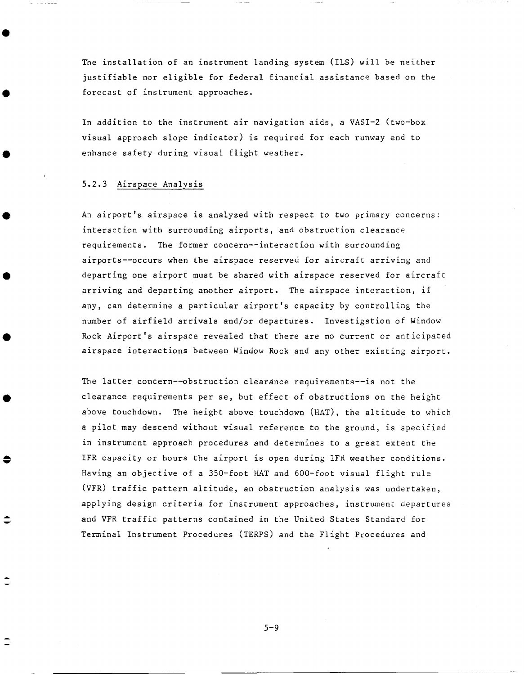The installation of an instrument landing system (ILS) will be neither justifiable nor eligible for federal financial assistance based on the forecast of instrument approaches.

In addition to the instrument air navigation aids, a VASI-2 (two-box visual approach slope indicator) is required for each runway end to enhance safety during visual flight weather.

#### 5.2.3 Airspace Analysis

An airport's airspace is analyzed with respect to two primary concerns: interaction with surrounding airports, and obstruction clearance requirements. The former concern--interaction with surrounding airports--occurs when the airspace reserved for aircraft arriving and departing one airport must be shared with airspace reserved for aircraft arriving and departing another airport. The airspace interaction, if any, can determine a particular airport's capacity by controlling the number of airfield arrivals and/or departures. Investigation of Window Rock Airport's airspace revealed that there are no current or anticipated airspace interactions between Window Rock and any other existing airport.

The latter concern--obstruction clearance requirements--is not the clearance requirements per se, but effect of obstructions on the height above touchdown. The height above touchdown (HAT), the altitude to which a pilot may descend without visual reference to the ground, is specified in instrument approach procedures and determines to a great extent the IFR capacity or bours the airport is open during IFR weather conditions. Having an objective of a 350-foot HAT and 600-foot visual flight rule (VFR) traffic pattern altitude, an obstruction analysis was undertaken, applying design criteria for instrument approaches, instrument departures and VFR traffic patterns contained in the United States Standard for Terminal Instrument Procedures (TERPS) and the Flight Procedures and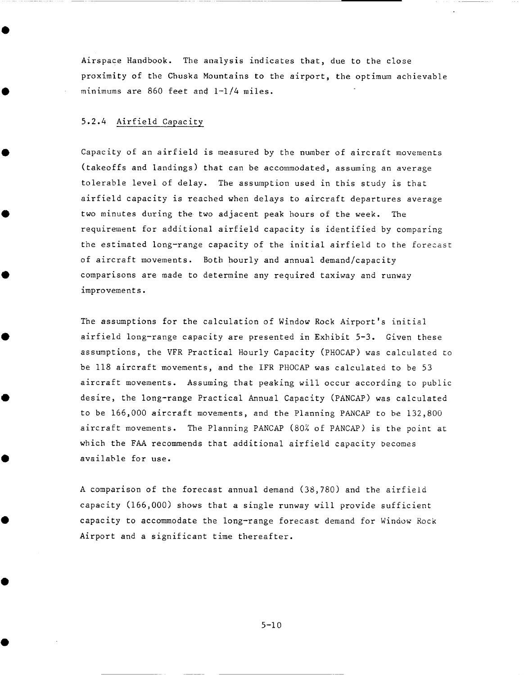Airspace Handbook. The analysis indicates that, due to the close proximity of the Chuska Mountains to the airport, the optimum achievable minimums are 860 feet and I-1/4 miles.

### 5.2.4 Airfield Capacity

Capacity of an airfield is measured by the number of aircraft movements (takeoffs and landings) that can be accommodated, assuming an average tolerable level of delay. The assumption used in this study is that airfield capacity is reached when delays to aircraft departures average two minutes during the two adjacent peak hours of the week. The requirement for additional airfield capacity is identified by comparing the estimated long-range capacity of the initial airfield to the forecast of aircraft movements. Both hourly and annual demand/capacity comparisons are made to determine any required taxiway and runway improvements.

The assumptions for the calculation of Window Rock Airport's initial airfield long-range capacity are presented in Exhibit 5-3. Given these assumptions, the VFR Practical Hourly Capacity (PHOCAP) was calculated to be 118 aircraft movements, and the IFR PHOCAP was calculated to be 53 aircraft movements. Assuming that peaking will occur according to public desire, the long-range Practical Annual Capacity (PANCAP) was calculated to be  $166,000$  aircraft movements, and the Planning PANCAP to be  $132,800$ aircraft movements. The Planning PANCAP (80% of PANCAP) is the point at which the FAA recommends that additional airfield capacity becomes available for use.

A comparison of the forecast annual demand (38,780) and the airfield capacity (166,000) shows that a single runway will provide sufficient capacity to accommodate the long-range forecast demand for Window Rock Airport and a significant time thereafter.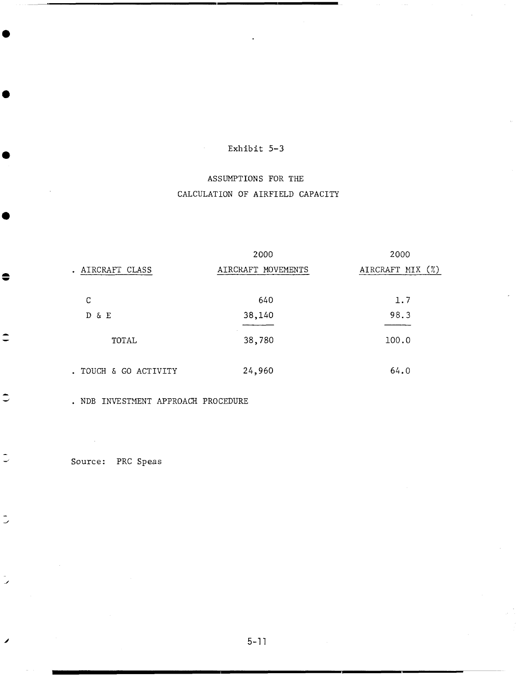$\Delta \sim 1$ 

# ASSUMPTIONS FOR THE CALCULATION OF AIRFIELD CAPACITY

|                     | 2000               | 2000             |
|---------------------|--------------------|------------------|
| . AIRCRAFT CLASS    | AIRCRAFT MOVEMENTS | AIRCRAFT MIX (%) |
|                     |                    |                  |
| С                   | 640                | 1.7              |
| D & E               | 38,140             | 98.3             |
|                     |                    |                  |
| TOTAL               | 38,780             | 100.0            |
|                     |                    |                  |
| TOUCH & GO ACTIVITY | 24,960             | 64.0             |

• NDB INVESTMENT APPROACH PROCEDURE

Source: PRC Speas

●

 $\hat{\mathbf{z}}$ 

 $\Rightarrow$ 

 $\tilde{\mathbb{C}}$ 

 $\frac{1}{2}$ 

 $\overline{\phantom{a}}$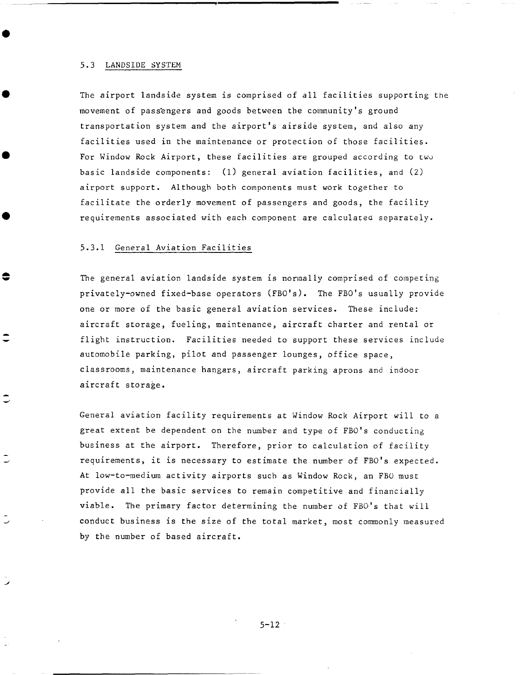#### 5.3 LANDSIDE SYSTEM

The airport landside system is comprised of all facilities supporting the movement of passengers and goods between the community's ground transportation system and the airport's airside system, and also any facilities used in the maintenance or protection of those facilities. For Window Rock Airport, these facilities are grouped according to two basic landside components: (I) general aviation facilities, and (2) airport support. Although both components must work together to facilitate the orderly movement of passengers and goods, the facility requirements associated with each component are calculatea separately.

#### 5.3.1 General Aviation Facilities

€

The general aviation landside system is normally comprised of competing privately-owned fixed-base operators (FBO's). The FBO's usually provide one or more of the basic general aviation services. These include: aircraft storage, fueling, maintenance, aircraft charter and rental or flight instruction. Facilities needed to support these services include automobile parking, pilot and passenger lounges, office space, classrooms, maintenance hangars, aircraft parking aprons and indoor aircraft storage.

General aviation facility requirements at Window Rock Airport will to a great extent be dependent on the number and type of FBO's conducting business at the airport. Therefore, prior to calculation of facility requirements, it is necessary to estimate the number of FBO's expected. At low-to-medium activity airports such as Window Rock, an FBO must provide all the basic services to remain competitive and financially viable. The primary factor determining the number of FBO's tbat will conduct business is the size of the total market, most commonly measured by the number of based aircraft.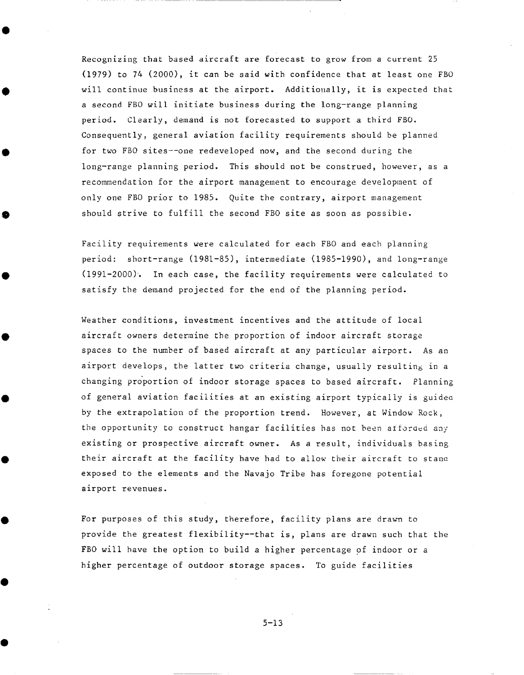Recognizing that based aircraft are forecast to grow from a current 25 (1979) to 74 (2000), it can be said with confidence that at least one FBO will continue business at the airport. Additioually, it is expected that a second FBO will initiate business during the long-range planning period. Clearly, demand is not forecasted to support a third FBO. Consequently, general aviation facility requirements should be planned for two FBO sites--one redeveloped now, and the second during the long-range planning period. This should not be construed, however, as a recommendation for the airport management to encourage development of only one FBO prior to 1985. Quite the contrary, airport management should strive to fulfill the second FBO site as soon as possible.

Facility requirements were calculated for each FBO and each planning period: short-range (1981-85), intermediate (1985-1990), and long-range (1991-2000). In each case, the facility requirements were calculated to satisfy the demand projected for the end of the planning period.

Weather conditions, investment incentives and the attitude of local aircraft owners determine the proportion of indoor aircraft storage spaces to the number of based aircraft at any particular airport. As an airport develops, the latter two criteria change, usually resulting in a changing proportion of indoor storage spaces to based aircraft. Planning of general aviation facilities at an existing airport typically is guided by the extrapolation of the proportion trend. However, at Window Rock, the opportunity to construct hangar facilities has not been afforded any existing or prospective aircraft owner. As a result, individuals basing their aircraft at the facility have had to allow their aircraft to stana exposed to the elements and the Navajo Tribe has foregone potential airport revenues.

For purposes of this study, therefore, facility plans are drawn to provide the greatest flexibility--that is, plans are drawn such that the FBO will have the option to build a higher percentage of indoor or a higher percentage of outdoor storage spaces. To guide facilities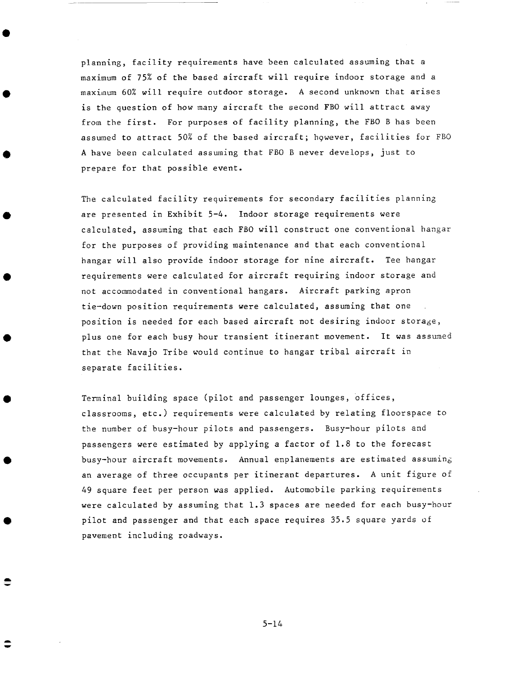planning, facility requirements have been calculated assuming that a maximum of 75% of the based aircraft will require indoor storage and a maximum 60% will require outdoor storage. A second unknown that arises is the question of how many aircraft the second FBO will attract away from the first. For purposes of facility planning, the FBO B has been assumed to attract 50% of the based aircraft; however, facilities for FBO A have been calculated assuming that FBO B never develops, just to prepare for that possible event.

The calculated facility requirements for secondary facilities planning are presented in Exhibit 5-4. Indoor storage requirements were calculated, assuming that each FBO will construct one conventional hangar for the purposes of providing maintenance and that each conventional hangar will also provide indoor storage for nine aircraft. Tee hangar requirements were calculated for aircraft requiring indoor storage and not accommodated in conventional hangars. Aircraft parking apron tie-down position requirements were calculated, assuming that one position is needed for each based aircraft not desiring indoor storage, plus one for each busy hour transient itinerant movement. It was assumed that the Navajo Tribe would continue to hangar tribal aircraft in separate facilities.

Terminal building space (pilot and passenger lounges, Offices, classrooms, etc.) requirements were calculated by relating floorspace to the number of busy-hour pilots and passengers. Busy-hour pilots and passengers were estimated by applying a factor of 1.8 to the forecast busy-hour aircraft movements. Annual enplanements are estimated assuming an average of three occupants per itinerant departures. A unit figure of 49 square feet per person was applied. Automobile parking requirements were calculated by assuming that 1.3 spaces are needed for each busy-hour pilot and passenger and that each space requires 35.5 square yards of pavement including roadways.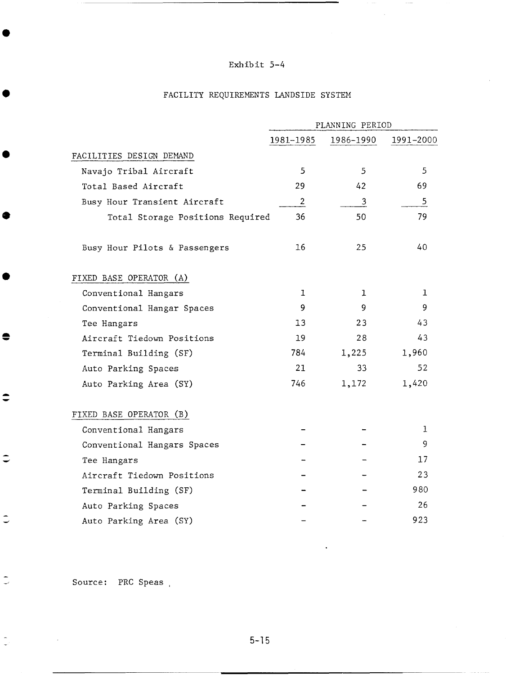# FACILITY REQUIREmeNTS LANDSIDE SYSTEM

|                                  | PLANNING PERIOD |           |              |
|----------------------------------|-----------------|-----------|--------------|
|                                  | 1981-1985       | 1986-1990 | 1991-2000    |
| FACILITIES DESIGN DEMAND         |                 |           |              |
| Navajo Tribal Aircraft           | 5               | 5         | 5            |
| Total Based Aircraft             | 29              | 42        | 69           |
| Busy Hour Transient Aircraft     | $\overline{2}$  | 3         | 5            |
| Total Storage Positions Required | 36              | 50        | 79           |
| Busy Hour Pilots & Passengers    | 16              | 25        | 40           |
| FIXED BASE OPERATOR (A)          |                 |           |              |
| Conventional Hangars             | 1               | 1         | $\mathbf{1}$ |
| Conventional Hangar Spaces       | 9               | 9         | 9.           |
| Tee Hangars                      | 13              | 23        | 43           |
| Aircraft Tiedown Positions       | 19              | 28        | 43           |
| Terminal Building (SF)           | 784             | 1,225     | 1,960        |
| Auto Parking Spaces              | 21.             | 33        | 52           |
| Auto Parking Area (SY)           | 746             | 1,172     | 1,420        |
| FIXED BASE OPERATOR (B)          |                 |           |              |
| Conventional Hangars             |                 |           | 1            |
| Conventional Hangars Spaces      |                 |           | 9            |
| Tee Hangars                      |                 |           | 17           |
| Aircraft Tiedown Positions       |                 |           | 23           |
| Terminal Building (SF)           |                 |           | 980          |
| Auto Parking Spaces              |                 |           | 26           |
| Auto Parking Area (SY)           |                 |           | 923          |

Source: PRC Speas ,

●

●

 $\bullet$ 

 $\bullet$ 

 $\Rightarrow$ 

 $\Rightarrow$ 

 $\ddot{\circ}$ 

 $\tilde{\mathbb{L}}$ 

 $\frac{1}{2}$